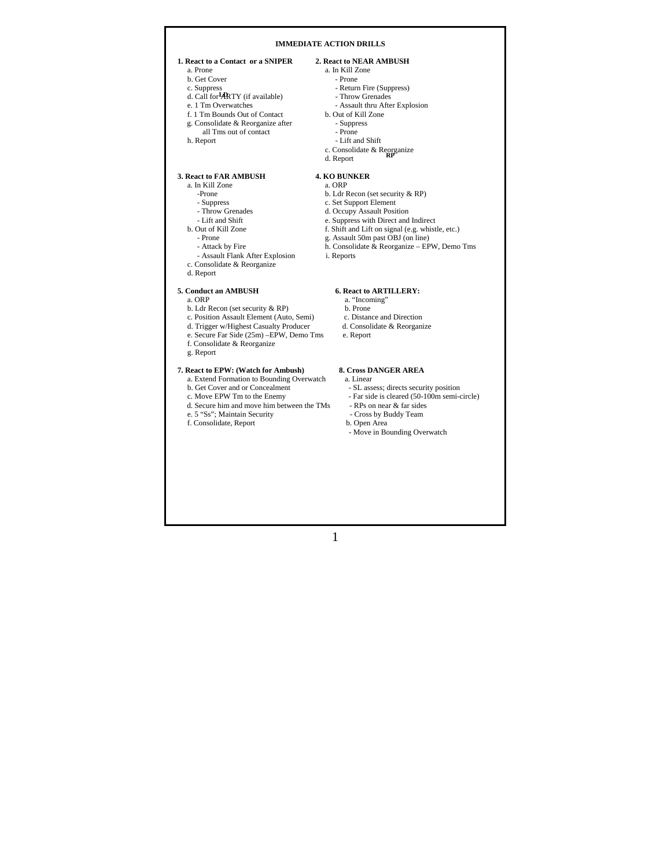## **IMMEDIATE ACTION DRILLS**

# **1. React to a Contact or a SNIPER** 2. React to NEAR AMBUSH a Prone  $\frac{a}{2}$ . In Kill Zone

- 
- b. Get Cover<br>c. Suppress
- d. Call for **ARTY** (if available) Throw Grenades
	-
	- e. 1 Tm Overwatches Assault thru After Explosion<br>f. 1 Tm Bounds Out of Contact b. Out of Kill Zone  $f. 1$  Tm Bounds Out of Contact
	- g. Consolidate & Reorganize after Suppress
	- all Tms out of contact<br>
	h. Report<br>
	 Lift are
- 

# **3. React to FAR AMBUSH 4. KO BUNKER**<br>a. In Kill Zone a. ORP

- a. In Kill Zone<br>-Prone
- 
- 
- 
- 
- 
- 
- Assault Flank After Explosion i. Reports
- c. Consolidate & Reorganize
- d. Report

# **5. Conduct an AMBUSH 6. React to ARTILLERY:**<br>a. ORP **1.** "Incoming"

- 
- b. Ldr Recon (set security & RP)<br>
b. Prone<br>
c. Position Assault Element (Auto, Semi)<br>
c. Distance and Direction
- c. Position Assault Element (Auto, Semi) c. Distance and Direction d. Trigger w/Highest Casualty Producer d. Consolidate & Reorganize
- d. Trigger w/Highest Casualty Producer
- e. Secure Far Side (25m) –EPW, Demo Tms e. Report f. Consolidate & Reorganize
- g. Report
- 

# **7. React to EPW: (Watch for Ambush) 8. Cross DANGER AREA**

- a. Extend Formation to Bounding Overwatch<br>b. Get Cover and or Concealment
- 
- 
- d. Secure him and move him between the TMs RPs on near & far sides<br>e. 5 "Ss": Maintain Security Cross by Buddy Team e. 5 "Ss"; Maintain Security - Cross by Buddy Team
- f. Consolidate, Report
- 

- a. In Kill Zone<br>- Prone
	-
	- Return Fire (Suppress)<br>- Throw Grenades
	-
	-
	-
	-
	- Lift and Shift
- c. Consolidate & Reorganize **RP**  d. Report
	-

- -Prone b. Ldr Recon (set security & RP)<br>
 Suppress c. Set Support Element
- Suppress c. Set Support Element<br>- Throw Grenades d. Occupy Assault Posit
	-
- Throw Grenades d. Occupy Assault Position<br>- Lift and Shift e. Suppress with Direct and - Lift and Shift e. Suppress with Direct and Indirect b. Out of Kill Zone f. Shift and Lift on signal (e.g. whist
	- b. Out of Kill Zone<br>
	out of Kill Zone<br>
	F. Shift and Lift on signal (e.g. whistle, etc.)<br>
	Prone g. Assault 50m past OBJ (on line)
- Prone g. Assault 50m past OBJ (on line)
- Attack by Fire h. Consolidate & Reorganize EPW, Demo Tms
	-

- 
- a. "Incoming"<br>b. Prone
- 
- 
- 

- -
- b. Get Cover and or Concealment SL assess; directs security position c. Move EPW Tm to the Enemy Far side is cleared (50-100m semi-- Far side is cleared (50-100m semi-circle)<br>- RPs on near & far sides
	-
	-
	- Move in Bounding Overwatch

# 1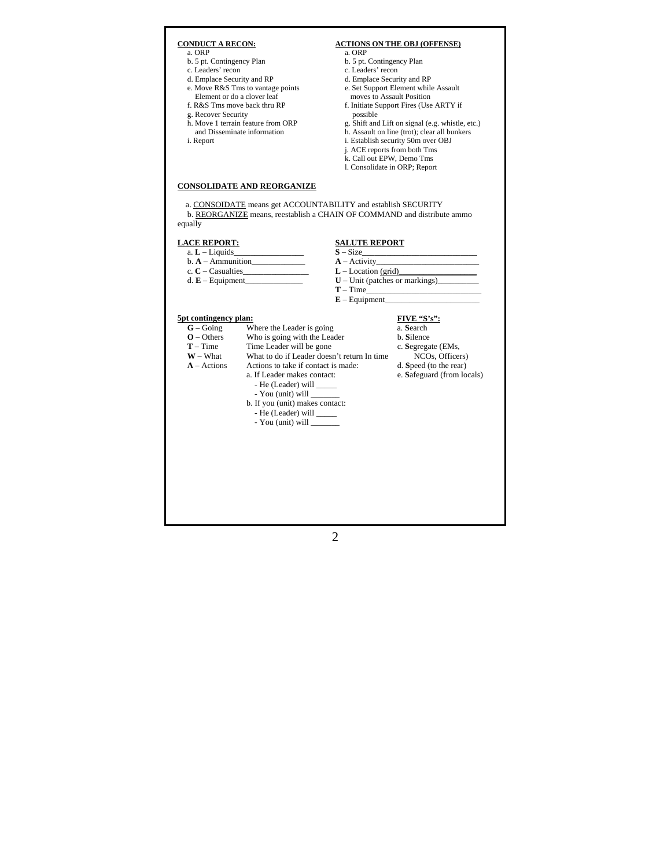# **CONDUCT A RECON: ACTIONS ON THE OBJ (OFFENSE)**<br>a ORP a. ORP<br>b. 5 pt. Contingency Plan b. 5 pt. Contingency Plan b. 5 pt. Contingency Plan b. 5 pt. Contingency Plan c. Leaders' recon c. Leaders' recon<br>d. Emplace Security and RP d. Emplace Security and RP d. Emplace Security and RP d. Emplace Security and RP d. Emplace Security and RP d. Nove R&S Tms to vantage points e. Set Support Element while e. Set Support Element while Assault Element or do a clover leaf moves to Assault Position f. R&S Tms move back thru RP f. Initiate Support Fires (Use ARTY if g. Recover Security possible<br>
h. Move 1 terrain feature from ORP g. Shift and g. Shift and Lift on signal (e.g. whistle, etc.) and Disseminate information h. Assault on line (trot); clear all bunkers i. Report i. Establish security 50m over OBJ j. ACE reports from both Tms k. Call out EPW, Demo Tms l. Consolidate in ORP; Report **CONSOLIDATE AND REORGANIZE** a. CONSOIDATE means get ACCOUNTABILITY and establish SECURITY b. REORGANIZE means, reestablish a CHAIN OF COMMAND and distribute ammo equally **LACE REPORT:**<br> **SALUTE REPORT**<br> **S** – Size<br> **S** – Size a. **L** – Liquids\_ b. **A** – Ammunition\_\_\_\_\_\_\_\_\_\_\_\_\_ **A** – Activity\_\_\_\_\_\_\_\_\_\_\_\_\_\_\_\_\_\_\_\_\_\_\_\_\_ L – Location (grid) d. **E** – Equipment\_\_\_\_\_\_\_\_\_\_\_\_\_\_ **U** – Unit (patches or markings)\_\_\_\_\_\_\_\_\_\_  $T - Time$  $E - Equipment$ **5pt contingency plan: FIVE "S's": G** - Going Where the Leader is going a. Search **Where the Leader is going a. Search O** – Others Who is going with the Leader b. **S**ilence **T** – Time Time Leader will be gone c. **Segregate (EMs,**  $W - What$  What to do if Leader doesn't return In time NCOs, Officers) **W** – What **What to do if Leader doesn't return In time NCOs, Officers <b>A** – Actions Actions to take if contact is made: d. Speed (to the rear) Actions to take if contact is made: a. If Leader makes contact: e. **S**afeguard (from locals) - He (Leader) will \_ - You (unit) will  $\overline{\phantom{a}}$  b. If you (unit) makes contact: - He (Leader) will \_ - You (unit) will \_

2